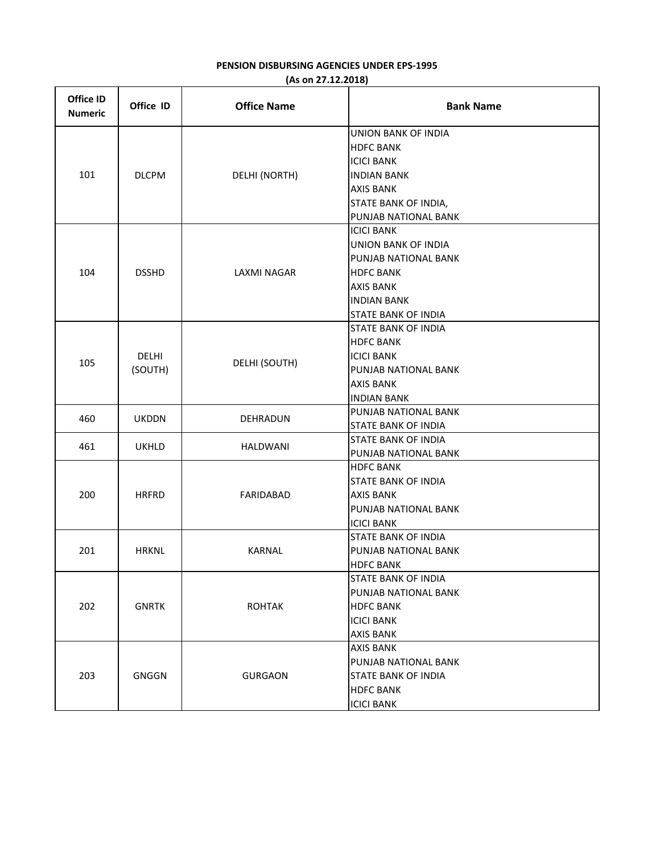## **PENSION DISBURSING AGENCIES UNDER EPS-1995 (As on 27.12.2018)**

| Office ID<br><b>Numeric</b> | Office ID               | <b>Office Name</b> | <b>Bank Name</b>                                                                                                                                                    |
|-----------------------------|-------------------------|--------------------|---------------------------------------------------------------------------------------------------------------------------------------------------------------------|
| 101                         | <b>DLCPM</b>            | DELHI (NORTH)      | <b>UNION BANK OF INDIA</b><br><b>HDFC BANK</b><br><b>ICICI BANK</b><br><b>INDIAN BANK</b><br><b>AXIS BANK</b><br>STATE BANK OF INDIA,<br>PUNJAB NATIONAL BANK       |
| 104                         | <b>DSSHD</b>            | <b>LAXMI NAGAR</b> | <b>ICICI BANK</b><br><b>UNION BANK OF INDIA</b><br>PUNJAB NATIONAL BANK<br><b>HDFC BANK</b><br><b>AXIS BANK</b><br><b>INDIAN BANK</b><br><b>STATE BANK OF INDIA</b> |
| 105                         | <b>DELHI</b><br>(SOUTH) | DELHI (SOUTH)      | <b>STATE BANK OF INDIA</b><br><b>HDFC BANK</b><br><b>ICICI BANK</b><br>PUNJAB NATIONAL BANK<br><b>AXIS BANK</b><br><b>INDIAN BANK</b>                               |
| 460                         | <b>UKDDN</b>            | <b>DEHRADUN</b>    | PUNJAB NATIONAL BANK<br><b>STATE BANK OF INDIA</b>                                                                                                                  |
| 461                         | <b>UKHLD</b>            | HALDWANI           | <b>STATE BANK OF INDIA</b><br>PUNJAB NATIONAL BANK                                                                                                                  |
| 200                         | <b>HRFRD</b>            | FARIDABAD          | <b>HDFC BANK</b><br><b>STATE BANK OF INDIA</b><br>AXIS BANK<br>PUNJAB NATIONAL BANK<br><b>ICICI BANK</b>                                                            |
| 201                         | <b>HRKNL</b>            | KARNAL             | <b>STATE BANK OF INDIA</b><br>PUNJAB NATIONAL BANK<br><b>HDFC BANK</b>                                                                                              |
| 202                         | <b>GNRTK</b>            | <b>ROHTAK</b>      | STATE BANK OF INDIA<br>PUNJAB NATIONAL BANK<br><b>HDFC BANK</b><br><b>ICICI BANK</b><br><b>AXIS BANK</b>                                                            |
| 203                         | <b>GNGGN</b>            | <b>GURGAON</b>     | <b>AXIS BANK</b><br>PUNJAB NATIONAL BANK<br><b>STATE BANK OF INDIA</b><br><b>HDFC BANK</b><br><b>ICICI BANK</b>                                                     |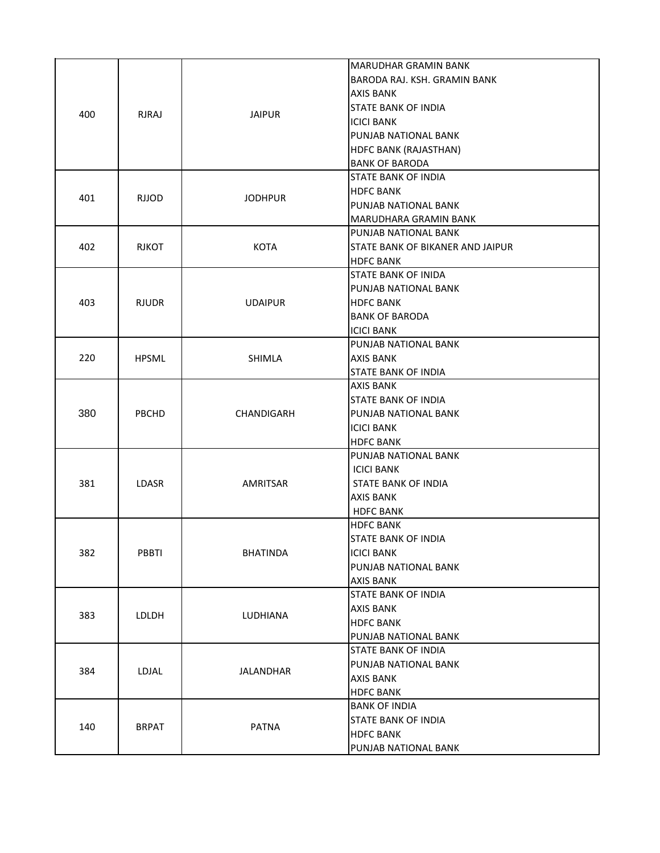| 400 | <b>RJRAJ</b> | <b>JAIPUR</b>  | MARUDHAR GRAMIN BANK<br>BARODA RAJ. KSH. GRAMIN BANK<br>AXIS BANK<br><b>STATE BANK OF INDIA</b>                      |
|-----|--------------|----------------|----------------------------------------------------------------------------------------------------------------------|
|     |              |                | <b>ICICI BANK</b><br>PUNJAB NATIONAL BANK<br>HDFC BANK (RAJASTHAN)<br><b>BANK OF BARODA</b>                          |
| 401 | <b>RJJOD</b> | <b>JODHPUR</b> | <b>STATE BANK OF INDIA</b><br>HDFC BANK<br>PUNJAB NATIONAL BANK<br>MARUDHARA GRAMIN BANK                             |
| 402 | <b>RJKOT</b> | <b>KOTA</b>    | PUNJAB NATIONAL BANK<br>STATE BANK OF BIKANER AND JAIPUR<br><b>HDFC BANK</b>                                         |
| 403 | <b>RJUDR</b> | <b>UDAIPUR</b> | <b>STATE BANK OF INIDA</b><br>PUNJAB NATIONAL BANK<br><b>HDFC BANK</b><br><b>BANK OF BARODA</b><br><b>ICICI BANK</b> |
| 220 | <b>HPSML</b> | SHIMLA         | PUNJAB NATIONAL BANK<br><b>AXIS BANK</b><br><b>STATE BANK OF INDIA</b>                                               |
| 380 | <b>PBCHD</b> | CHANDIGARH     | AXIS BANK<br>STATE BANK OF INDIA<br>PUNJAB NATIONAL BANK<br>ICICI BANK<br><b>HDFC BANK</b>                           |
| 381 | <b>LDASR</b> | AMRITSAR       | PUNJAB NATIONAL BANK<br><b>ICICI BANK</b><br><b>STATE BANK OF INDIA</b><br><b>AXIS BANK</b><br><b>HDFC BANK</b>      |
| 382 | PBBTI        | BHATINDA       | <b>HDFC BANK</b><br>STATE BANK OF INDIA<br><b>ICICI BANK</b><br>PUNJAB NATIONAL BANK<br><b>AXIS BANK</b>             |
| 383 | <b>LDLDH</b> | LUDHIANA       | <b>STATE BANK OF INDIA</b><br>AXIS BANK<br><b>HDFC BANK</b><br>PUNJAB NATIONAL BANK                                  |
| 384 | LDJAL        | JALANDHAR      | <b>STATE BANK OF INDIA</b><br>PUNJAB NATIONAL BANK<br><b>AXIS BANK</b><br><b>HDFC BANK</b>                           |
| 140 | <b>BRPAT</b> | <b>PATNA</b>   | <b>BANK OF INDIA</b><br><b>STATE BANK OF INDIA</b><br><b>HDFC BANK</b><br>PUNJAB NATIONAL BANK                       |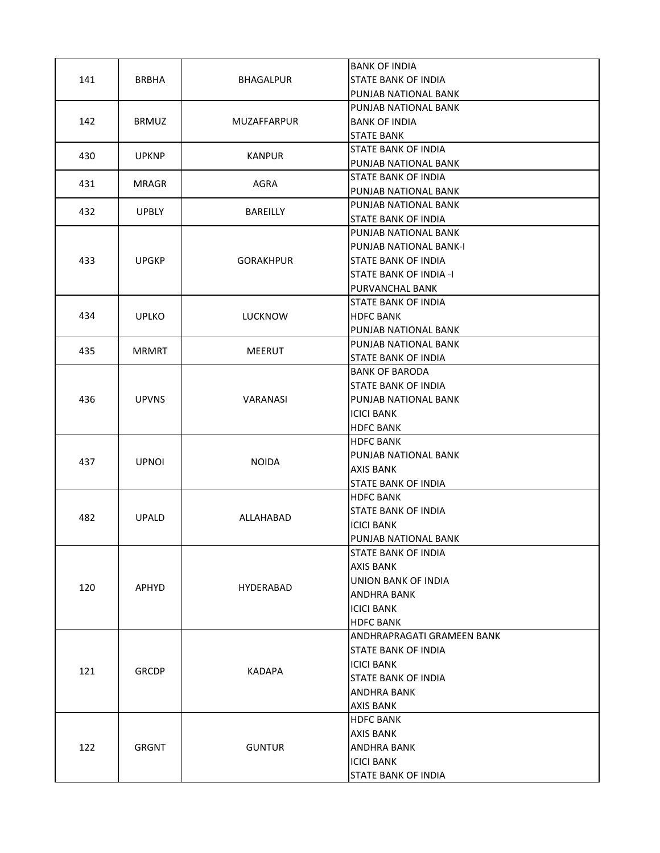|     |              |                  | <b>BANK OF INDIA</b>          |
|-----|--------------|------------------|-------------------------------|
| 141 | BRBHA        | BHAGALPUR        | <b>STATE BANK OF INDIA</b>    |
|     |              |                  | PUNJAB NATIONAL BANK          |
|     |              |                  | PUNJAB NATIONAL BANK          |
| 142 | <b>BRMUZ</b> | MUZAFFARPUR      | <b>BANK OF INDIA</b>          |
|     |              |                  | <b>STATE BANK</b>             |
|     |              |                  | <b>STATE BANK OF INDIA</b>    |
| 430 | <b>UPKNP</b> | <b>KANPUR</b>    | PUNJAB NATIONAL BANK          |
|     |              |                  | <b>STATE BANK OF INDIA</b>    |
| 431 | <b>MRAGR</b> | AGRA             | PUNJAB NATIONAL BANK          |
|     |              |                  | PUNJAB NATIONAL BANK          |
| 432 | <b>UPBLY</b> | <b>BAREILLY</b>  | <b>STATE BANK OF INDIA</b>    |
|     |              |                  | PUNJAB NATIONAL BANK          |
|     |              |                  | PUNJAB NATIONAL BANK-I        |
| 433 | <b>UPGKP</b> | <b>GORAKHPUR</b> | <b>STATE BANK OF INDIA</b>    |
|     |              |                  | <b>STATE BANK OF INDIA -I</b> |
|     |              |                  | PURVANCHAL BANK               |
|     |              |                  | <b>STATE BANK OF INDIA</b>    |
| 434 | <b>UPLKO</b> | <b>LUCKNOW</b>   | <b>HDFC BANK</b>              |
|     |              |                  | PUNJAB NATIONAL BANK          |
|     |              |                  | PUNJAB NATIONAL BANK          |
| 435 | <b>MRMRT</b> | <b>MEERUT</b>    | <b>STATE BANK OF INDIA</b>    |
|     | <b>UPVNS</b> | VARANASI         | <b>BANK OF BARODA</b>         |
|     |              |                  | <b>STATE BANK OF INDIA</b>    |
| 436 |              |                  | PUNJAB NATIONAL BANK          |
|     |              |                  | <b>ICICI BANK</b>             |
|     |              |                  | <b>HDFC BANK</b>              |
|     |              |                  | <b>HDFC BANK</b>              |
|     |              |                  | PUNJAB NATIONAL BANK          |
| 437 | <b>UPNOI</b> | <b>NOIDA</b>     | AXIS BANK                     |
|     |              |                  | <b>STATE BANK OF INDIA</b>    |
|     | <b>UPALD</b> | ALLAHABAD        | <b>HDFC BANK</b>              |
|     |              |                  | <b>STATE BANK OF INDIA</b>    |
| 482 |              |                  | <b>ICICI BANK</b>             |
|     |              |                  | PUNJAB NATIONAL BANK          |
|     |              |                  | <b>STATE BANK OF INDIA</b>    |
|     | <b>APHYD</b> |                  | AXIS BANK                     |
|     |              |                  | UNION BANK OF INDIA           |
| 120 |              | HYDERABAD        | <b>ANDHRA BANK</b>            |
|     |              |                  | <b>ICICI BANK</b>             |
|     |              |                  | <b>HDFC BANK</b>              |
|     |              |                  | ANDHRAPRAGATI GRAMEEN BANK    |
|     |              |                  | <b>STATE BANK OF INDIA</b>    |
| 121 |              |                  | <b>ICICI BANK</b>             |
|     | <b>GRCDP</b> | <b>KADAPA</b>    | <b>STATE BANK OF INDIA</b>    |
|     |              |                  | <b>ANDHRA BANK</b>            |
|     |              |                  | AXIS BANK                     |
|     |              |                  | <b>HDFC BANK</b>              |
|     |              |                  | AXIS BANK                     |
| 122 | <b>GRGNT</b> | <b>GUNTUR</b>    | <b>ANDHRA BANK</b>            |
|     |              |                  | <b>ICICI BANK</b>             |
|     |              |                  | <b>STATE BANK OF INDIA</b>    |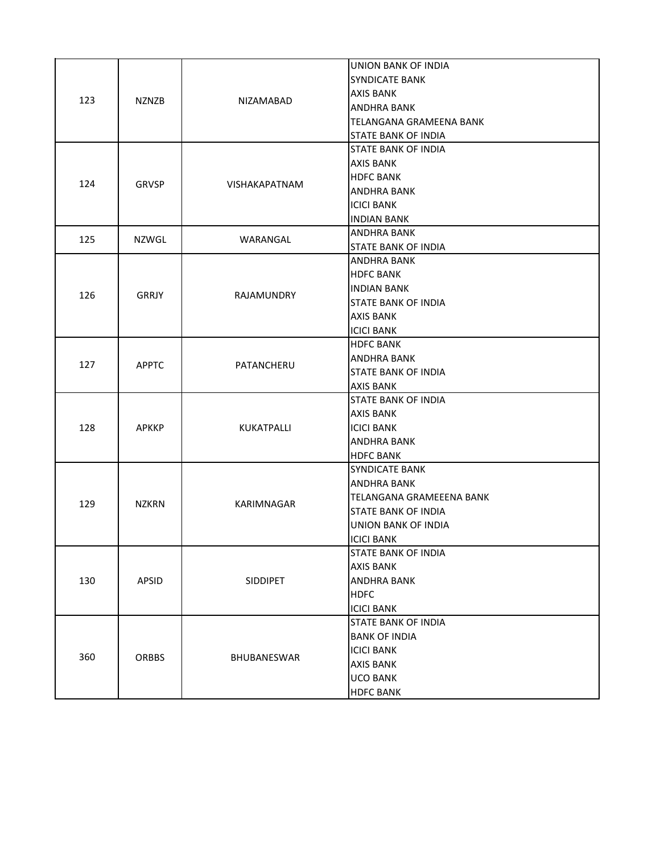| 123 | <b>NZNZB</b> | NIZAMABAD       | <b>UNION BANK OF INDIA</b><br><b>SYNDICATE BANK</b><br><b>AXIS BANK</b><br><b>ANDHRA BANK</b><br>TELANGANA GRAMEENA BANK<br>STATE BANK OF INDIA   |
|-----|--------------|-----------------|---------------------------------------------------------------------------------------------------------------------------------------------------|
| 124 | GRVSP        | VISHAKAPATNAM   | <b>STATE BANK OF INDIA</b><br><b>AXIS BANK</b><br><b>HDFC BANK</b><br><b>ANDHRA BANK</b><br><b>ICICI BANK</b><br><b>INDIAN BANK</b>               |
| 125 | NZWGL        | WARANGAL        | <b>ANDHRA BANK</b><br><b>STATE BANK OF INDIA</b>                                                                                                  |
| 126 | <b>GRRJY</b> | RAJAMUNDRY      | <b>ANDHRA BANK</b><br><b>HDFC BANK</b><br><b>INDIAN BANK</b><br><b>STATE BANK OF INDIA</b><br><b>AXIS BANK</b><br><b>ICICI BANK</b>               |
| 127 | <b>APPTC</b> | PATANCHERU      | <b>HDFC BANK</b><br><b>ANDHRA BANK</b><br><b>STATE BANK OF INDIA</b><br><b>AXIS BANK</b>                                                          |
| 128 | <b>APKKP</b> | KUKATPALLI      | <b>STATE BANK OF INDIA</b><br><b>AXIS BANK</b><br><b>ICICI BANK</b><br><b>ANDHRA BANK</b><br><b>HDFC BANK</b>                                     |
| 129 | <b>NZKRN</b> | KARIMNAGAR      | <b>SYNDICATE BANK</b><br><b>ANDHRA BANK</b><br>TELANGANA GRAMEEENA BANK<br><b>STATE BANK OF INDIA</b><br>UNION BANK OF INDIA<br><b>ICICI BANK</b> |
| 130 | APSID        | <b>SIDDIPET</b> | STATE BANK OF INDIA<br><b>AXIS BANK</b><br><b>ANDHRA BANK</b><br><b>HDFC</b><br><b>ICICI BANK</b>                                                 |
| 360 | <b>ORBBS</b> | BHUBANESWAR     | <b>STATE BANK OF INDIA</b><br><b>BANK OF INDIA</b><br><b>ICICI BANK</b><br><b>AXIS BANK</b><br><b>UCO BANK</b><br><b>HDFC BANK</b>                |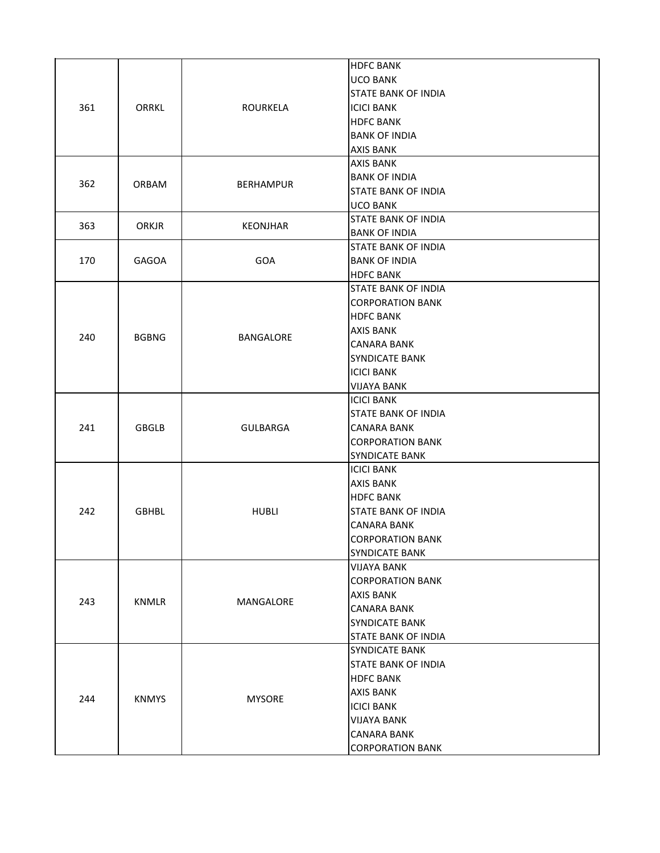| 361 | ORRKL        | ROURKELA         | <b>HDFC BANK</b><br><b>UCO BANK</b><br><b>STATE BANK OF INDIA</b><br><b>ICICI BANK</b><br><b>HDFC BANK</b><br><b>BANK OF INDIA</b><br><b>AXIS BANK</b>                                  |
|-----|--------------|------------------|-----------------------------------------------------------------------------------------------------------------------------------------------------------------------------------------|
| 362 | ORBAM        | <b>BERHAMPUR</b> | <b>AXIS BANK</b><br><b>BANK OF INDIA</b><br><b>STATE BANK OF INDIA</b><br><b>UCO BANK</b>                                                                                               |
| 363 | ORKJR        | <b>KEONJHAR</b>  | <b>STATE BANK OF INDIA</b><br><b>BANK OF INDIA</b>                                                                                                                                      |
| 170 | GAGOA        | GOA              | <b>STATE BANK OF INDIA</b><br><b>BANK OF INDIA</b><br><b>HDFC BANK</b>                                                                                                                  |
| 240 | <b>BGBNG</b> | BANGALORE        | <b>STATE BANK OF INDIA</b><br><b>CORPORATION BANK</b><br><b>HDFC BANK</b><br>AXIS BANK<br><b>CANARA BANK</b><br><b>SYNDICATE BANK</b><br><b>ICICI BANK</b><br><b>VIJAYA BANK</b>        |
| 241 | <b>GBGLB</b> | <b>GULBARGA</b>  | <b>ICICI BANK</b><br><b>STATE BANK OF INDIA</b><br><b>CANARA BANK</b><br><b>CORPORATION BANK</b><br><b>SYNDICATE BANK</b>                                                               |
| 242 | <b>GBHBL</b> | <b>HUBLI</b>     | <b>ICICI BANK</b><br><b>AXIS BANK</b><br><b>HDFC BANK</b><br><b>STATE BANK OF INDIA</b><br><b>CANARA BANK</b><br><b>CORPORATION BANK</b><br><b>SYNDICATE BANK</b>                       |
| 243 | KNMLR        | MANGALORE        | <b>VIJAYA BANK</b><br><b>CORPORATION BANK</b><br><b>AXIS BANK</b><br><b>CANARA BANK</b><br><b>SYNDICATE BANK</b><br>STATE BANK OF INDIA                                                 |
| 244 | <b>KNMYS</b> | <b>MYSORE</b>    | <b>SYNDICATE BANK</b><br><b>STATE BANK OF INDIA</b><br><b>HDFC BANK</b><br><b>AXIS BANK</b><br><b>ICICI BANK</b><br><b>VIJAYA BANK</b><br><b>CANARA BANK</b><br><b>CORPORATION BANK</b> |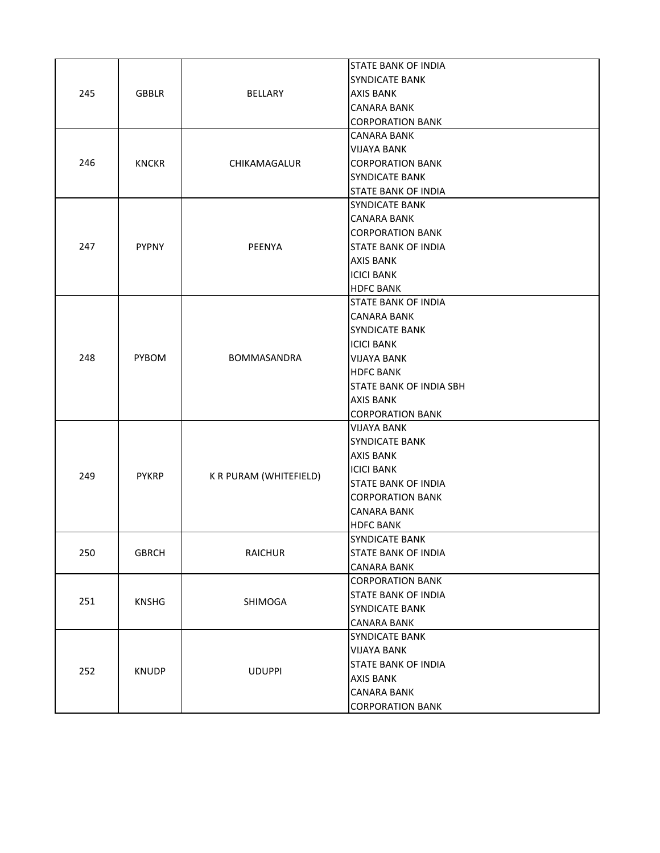|     |              |                               | <b>STATE BANK OF INDIA</b>     |
|-----|--------------|-------------------------------|--------------------------------|
| 245 |              |                               | <b>SYNDICATE BANK</b>          |
|     | <b>GBBLR</b> | BELLARY                       | <b>AXIS BANK</b>               |
|     |              |                               | <b>CANARA BANK</b>             |
|     |              |                               | <b>CORPORATION BANK</b>        |
|     |              |                               | <b>CANARA BANK</b>             |
|     |              |                               | <b>VIJAYA BANK</b>             |
| 246 | <b>KNCKR</b> | CHIKAMAGALUR                  | <b>CORPORATION BANK</b>        |
|     |              |                               | <b>SYNDICATE BANK</b>          |
|     |              |                               | <b>STATE BANK OF INDIA</b>     |
|     |              |                               | <b>SYNDICATE BANK</b>          |
|     |              |                               | <b>CANARA BANK</b>             |
|     |              |                               | <b>CORPORATION BANK</b>        |
| 247 | <b>PYPNY</b> | PEENYA                        | <b>STATE BANK OF INDIA</b>     |
|     |              |                               | <b>AXIS BANK</b>               |
|     |              |                               | <b>ICICI BANK</b>              |
|     |              |                               | <b>HDFC BANK</b>               |
|     |              |                               | <b>STATE BANK OF INDIA</b>     |
|     |              |                               | <b>CANARA BANK</b>             |
|     |              |                               | <b>SYNDICATE BANK</b>          |
|     |              | BOMMASANDRA                   | <b>ICICI BANK</b>              |
| 248 | PYBOM        |                               | <b>VIJAYA BANK</b>             |
|     |              |                               | <b>HDFC BANK</b>               |
|     |              |                               | <b>STATE BANK OF INDIA SBH</b> |
|     |              |                               | <b>AXIS BANK</b>               |
|     |              |                               | <b>CORPORATION BANK</b>        |
|     |              |                               | <b>VIJAYA BANK</b>             |
|     |              |                               | <b>SYNDICATE BANK</b>          |
|     |              |                               | <b>AXIS BANK</b>               |
| 249 | <b>PYKRP</b> | K R PURAM (WHITEFIELD)        | <b>ICICI BANK</b>              |
|     |              |                               | <b>STATE BANK OF INDIA</b>     |
|     |              |                               | <b>CORPORATION BANK</b>        |
|     |              |                               | <b>CANARA BANK</b>             |
|     |              |                               | <b>HDFC BANK</b>               |
|     |              |                               | <b>SYNDICATE BANK</b>          |
| 250 | <b>GBRCH</b> | <b>RAICHUR</b>                | <b>STATE BANK OF INDIA</b>     |
|     |              |                               | <b>CANARA BANK</b>             |
|     |              |                               | <b>CORPORATION BANK</b>        |
| 251 | <b>KNSHG</b> | SHIMOGA                       | <b>STATE BANK OF INDIA</b>     |
|     |              |                               | <b>SYNDICATE BANK</b>          |
|     |              |                               | <b>CANARA BANK</b>             |
|     |              |                               | <b>SYNDICATE BANK</b>          |
|     |              |                               | <b>VIJAYA BANK</b>             |
| 252 |              | <b>KNUDP</b><br><b>UDUPPI</b> | STATE BANK OF INDIA            |
|     |              |                               | <b>AXIS BANK</b>               |
|     |              |                               | <b>CANARA BANK</b>             |
|     |              |                               | <b>CORPORATION BANK</b>        |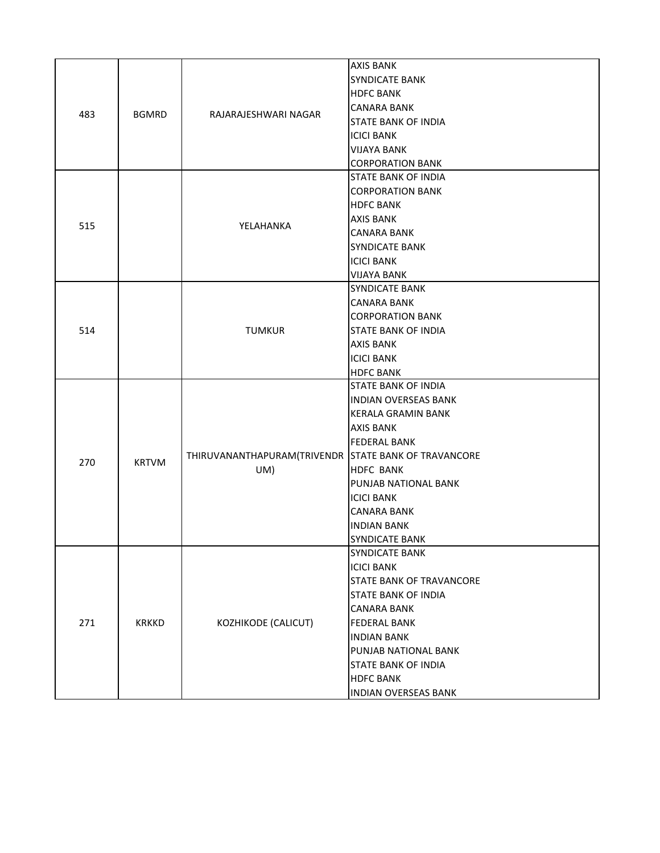|     |              |                                                             | <b>AXIS BANK</b>                |
|-----|--------------|-------------------------------------------------------------|---------------------------------|
|     |              |                                                             | <b>SYNDICATE BANK</b>           |
|     |              |                                                             |                                 |
|     |              |                                                             | <b>HDFC BANK</b>                |
| 483 | <b>BGMRD</b> | RAJARAJESHWARI NAGAR                                        | <b>CANARA BANK</b>              |
|     |              |                                                             | <b>STATE BANK OF INDIA</b>      |
|     |              |                                                             | <b>ICICI BANK</b>               |
|     |              |                                                             | VIJAYA BANK                     |
|     |              |                                                             | <b>CORPORATION BANK</b>         |
|     |              |                                                             | <b>STATE BANK OF INDIA</b>      |
|     |              |                                                             | <b>CORPORATION BANK</b>         |
|     |              |                                                             | <b>HDFC BANK</b>                |
| 515 |              | YELAHANKA                                                   | <b>AXIS BANK</b>                |
|     |              |                                                             | <b>CANARA BANK</b>              |
|     |              |                                                             | <b>SYNDICATE BANK</b>           |
|     |              |                                                             | <b>ICICI BANK</b>               |
|     |              |                                                             | <b>VIJAYA BANK</b>              |
|     |              |                                                             | <b>SYNDICATE BANK</b>           |
|     |              |                                                             | <b>CANARA BANK</b>              |
|     |              |                                                             | <b>CORPORATION BANK</b>         |
| 514 |              | <b>TUMKUR</b>                                               | <b>STATE BANK OF INDIA</b>      |
|     |              |                                                             | <b>AXIS BANK</b>                |
|     |              |                                                             | <b>ICICI BANK</b>               |
|     |              |                                                             | <b>HDFC BANK</b>                |
|     |              | THIRUVANANTHAPURAM(TRIVENDR STATE BANK OF TRAVANCORE<br>UM) | <b>STATE BANK OF INDIA</b>      |
|     |              |                                                             | <b>INDIAN OVERSEAS BANK</b>     |
|     |              |                                                             | <b>KERALA GRAMIN BANK</b>       |
|     |              |                                                             | <b>AXIS BANK</b>                |
|     |              |                                                             | <b>FEDERAL BANK</b>             |
| 270 | <b>KRTVM</b> |                                                             |                                 |
|     |              |                                                             | <b>HDFC BANK</b>                |
|     |              |                                                             | PUNJAB NATIONAL BANK            |
|     |              |                                                             | <b>ICICI BANK</b>               |
|     |              |                                                             | <b>CANARA BANK</b>              |
|     |              |                                                             | <b>INDIAN BANK</b>              |
|     |              |                                                             | SYNDICATE BANK                  |
|     |              |                                                             | <b>SYNDICATE BANK</b>           |
|     |              |                                                             | <b>ICICI BANK</b>               |
| 271 |              |                                                             | <b>STATE BANK OF TRAVANCORE</b> |
|     |              |                                                             | <b>STATE BANK OF INDIA</b>      |
|     |              |                                                             | <b>CANARA BANK</b>              |
|     | <b>KRKKD</b> | KOZHIKODE (CALICUT)                                         | <b>FEDERAL BANK</b>             |
|     |              |                                                             | <b>INDIAN BANK</b>              |
|     |              |                                                             | PUNJAB NATIONAL BANK            |
|     |              |                                                             | <b>STATE BANK OF INDIA</b>      |
|     |              |                                                             | <b>HDFC BANK</b>                |
|     |              |                                                             | <b>INDIAN OVERSEAS BANK</b>     |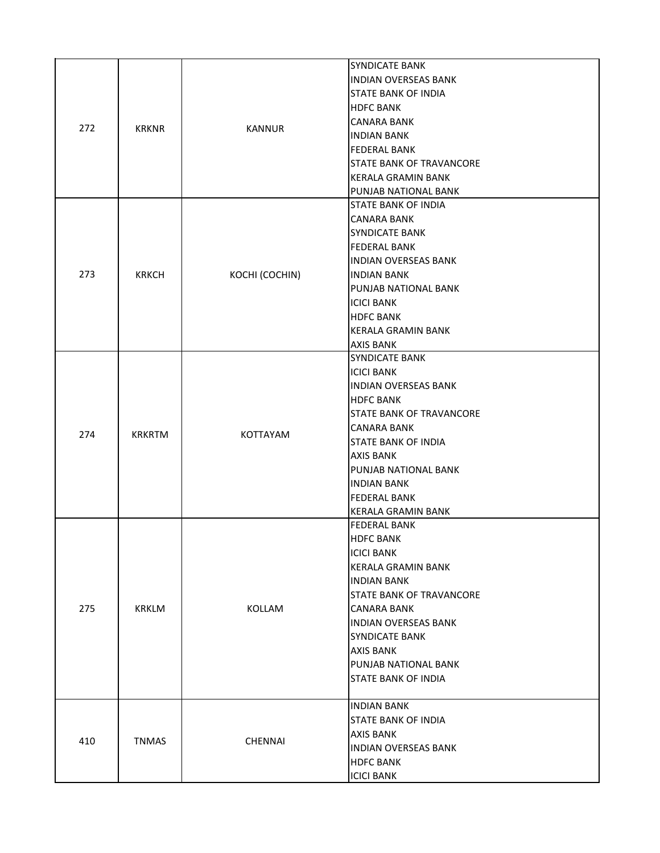| 272 | <b>KRKNR</b>  | <b>KANNUR</b>   | <b>SYNDICATE BANK</b><br><b>INDIAN OVERSEAS BANK</b><br><b>STATE BANK OF INDIA</b><br><b>HDFC BANK</b><br><b>CANARA BANK</b><br><b>INDIAN BANK</b><br><b>FEDERAL BANK</b><br><b>STATE BANK OF TRAVANCORE</b><br><b>KERALA GRAMIN BANK</b><br>PUNJAB NATIONAL BANK                                          |
|-----|---------------|-----------------|------------------------------------------------------------------------------------------------------------------------------------------------------------------------------------------------------------------------------------------------------------------------------------------------------------|
| 273 | <b>KRKCH</b>  | KOCHI (COCHIN)  | <b>STATE BANK OF INDIA</b><br><b>CANARA BANK</b><br><b>SYNDICATE BANK</b><br><b>FEDERAL BANK</b><br><b>INDIAN OVERSEAS BANK</b><br><b>INDIAN BANK</b><br>PUNJAB NATIONAL BANK<br><b>ICICI BANK</b><br><b>HDFC BANK</b><br><b>KERALA GRAMIN BANK</b><br><b>AXIS BANK</b>                                    |
| 274 | <b>KRKRTM</b> | <b>KOTTAYAM</b> | <b>SYNDICATE BANK</b><br><b>ICICI BANK</b><br><b>INDIAN OVERSEAS BANK</b><br><b>HDFC BANK</b><br><b>STATE BANK OF TRAVANCORE</b><br><b>CANARA BANK</b><br><b>STATE BANK OF INDIA</b><br><b>AXIS BANK</b><br>PUNJAB NATIONAL BANK<br><b>INDIAN BANK</b><br><b>FEDERAL BANK</b><br><b>KERALA GRAMIN BANK</b> |
| 275 | <b>KRKLM</b>  | KOLLAM          | <b>FEDERAL BANK</b><br><b>HDFC BANK</b><br><b>ICICI BANK</b><br><b>KERALA GRAMIN BANK</b><br><b>INDIAN BANK</b><br><b>STATE BANK OF TRAVANCORE</b><br><b>CANARA BANK</b><br><b>INDIAN OVERSEAS BANK</b><br><b>SYNDICATE BANK</b><br><b>AXIS BANK</b><br>PUNJAB NATIONAL BANK<br>STATE BANK OF INDIA        |
| 410 | <b>TNMAS</b>  | <b>CHENNAI</b>  | <b>INDIAN BANK</b><br><b>STATE BANK OF INDIA</b><br><b>AXIS BANK</b><br><b>INDIAN OVERSEAS BANK</b><br><b>HDFC BANK</b><br><b>ICICI BANK</b>                                                                                                                                                               |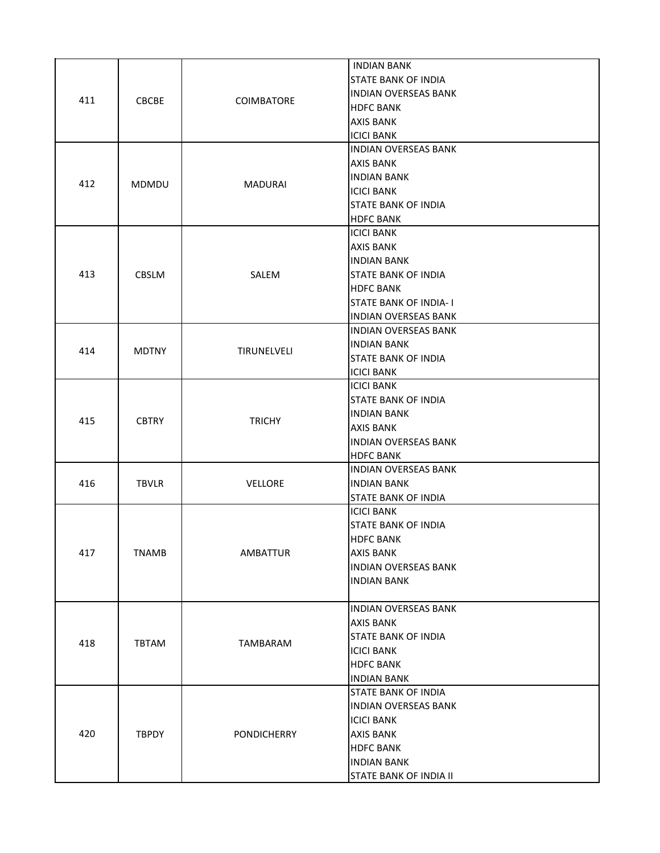| 411 | <b>CBCBE</b> | <b>COIMBATORE</b>  | <b>INDIAN BANK</b><br><b>STATE BANK OF INDIA</b><br><b>INDIAN OVERSEAS BANK</b><br><b>HDFC BANK</b><br><b>AXIS BANK</b><br><b>ICICI BANK</b>                           |
|-----|--------------|--------------------|------------------------------------------------------------------------------------------------------------------------------------------------------------------------|
| 412 | <b>MDMDU</b> | <b>MADURAI</b>     | <b>INDIAN OVERSEAS BANK</b><br>AXIS BANK<br><b>INDIAN BANK</b><br><b>ICICI BANK</b><br>STATE BANK OF INDIA<br><b>HDFC BANK</b>                                         |
| 413 | <b>CBSLM</b> | SALEM              | ICICI BANK<br><b>AXIS BANK</b><br><b>INDIAN BANK</b><br><b>STATE BANK OF INDIA</b><br><b>HDFC BANK</b><br><b>STATE BANK OF INDIA-I</b><br><b>INDIAN OVERSEAS BANK</b>  |
| 414 | <b>MDTNY</b> | TIRUNELVELI        | <b>INDIAN OVERSEAS BANK</b><br><b>INDIAN BANK</b><br><b>STATE BANK OF INDIA</b><br><b>ICICI BANK</b>                                                                   |
| 415 | <b>CBTRY</b> | <b>TRICHY</b>      | <b>ICICI BANK</b><br><b>STATE BANK OF INDIA</b><br><b>INDIAN BANK</b><br>AXIS BANK<br><b>INDIAN OVERSEAS BANK</b><br><b>HDFC BANK</b>                                  |
| 416 | <b>TBVLR</b> | <b>VELLORE</b>     | <b>INDIAN OVERSEAS BANK</b><br><b>INDIAN BANK</b><br><b>STATE BANK OF INDIA</b>                                                                                        |
| 417 | <b>TNAMB</b> | AMBATTUR           | <b>ICICI BANK</b><br><b>STATE BANK OF INDIA</b><br><b>HDFC BANK</b><br><b>AXIS BANK</b><br><b>INDIAN OVERSEAS BANK</b><br><b>INDIAN BANK</b>                           |
| 418 | <b>TBTAM</b> | TAMBARAM           | <b>INDIAN OVERSEAS BANK</b><br><b>AXIS BANK</b><br><b>STATE BANK OF INDIA</b><br><b>ICICI BANK</b><br><b>HDFC BANK</b><br><b>INDIAN BANK</b>                           |
| 420 | <b>TBPDY</b> | <b>PONDICHERRY</b> | <b>STATE BANK OF INDIA</b><br><b>INDIAN OVERSEAS BANK</b><br><b>ICICI BANK</b><br><b>AXIS BANK</b><br><b>HDFC BANK</b><br><b>INDIAN BANK</b><br>STATE BANK OF INDIA II |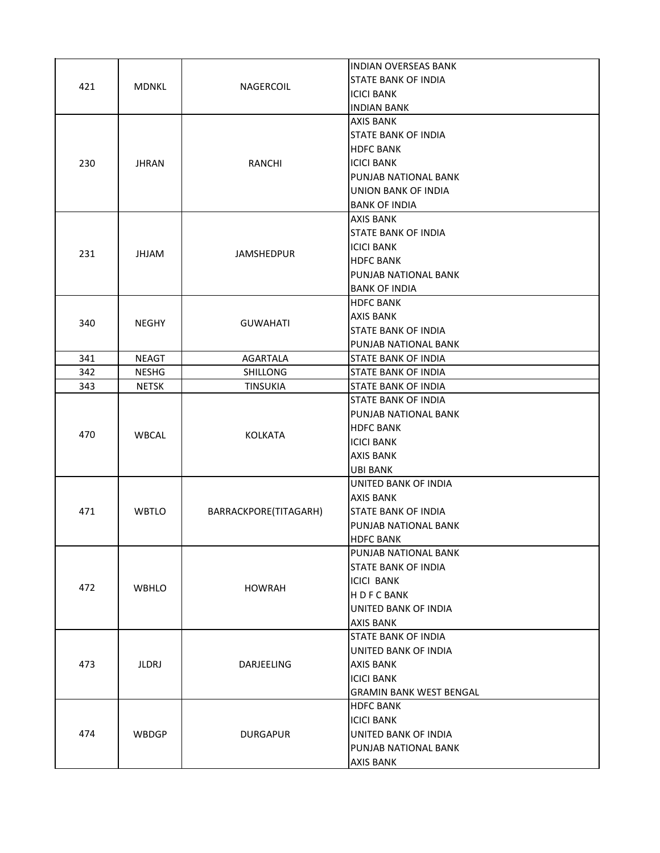|     |              |                       | <b>INDIAN OVERSEAS BANK</b>    |
|-----|--------------|-----------------------|--------------------------------|
| 421 | <b>MDNKL</b> | <b>NAGERCOIL</b>      | STATE BANK OF INDIA            |
|     |              |                       | <b>ICICI BANK</b>              |
|     |              |                       | <b>INDIAN BANK</b>             |
|     |              |                       | <b>AXIS BANK</b>               |
|     |              |                       | <b>STATE BANK OF INDIA</b>     |
|     |              |                       | <b>HDFC BANK</b>               |
| 230 | <b>JHRAN</b> | <b>RANCHI</b>         | <b>ICICI BANK</b>              |
|     |              |                       | PUNJAB NATIONAL BANK           |
|     |              |                       | <b>UNION BANK OF INDIA</b>     |
|     |              |                       | <b>BANK OF INDIA</b>           |
|     |              |                       | <b>AXIS BANK</b>               |
|     |              |                       | <b>STATE BANK OF INDIA</b>     |
| 231 | <b>JHJAM</b> | <b>JAMSHEDPUR</b>     | <b>ICICI BANK</b>              |
|     |              |                       | <b>HDFC BANK</b>               |
|     |              |                       | PUNJAB NATIONAL BANK           |
|     |              |                       | <b>BANK OF INDIA</b>           |
|     |              |                       | <b>HDFC BANK</b>               |
| 340 | <b>NEGHY</b> |                       | <b>AXIS BANK</b>               |
|     |              | <b>GUWAHATI</b>       | STATE BANK OF INDIA            |
|     |              |                       | PUNJAB NATIONAL BANK           |
| 341 | <b>NEAGT</b> | <b>AGARTALA</b>       | <b>STATE BANK OF INDIA</b>     |
| 342 | <b>NESHG</b> | <b>SHILLONG</b>       | <b>STATE BANK OF INDIA</b>     |
| 343 | <b>NETSK</b> | <b>TINSUKIA</b>       | <b>STATE BANK OF INDIA</b>     |
|     | <b>WBCAL</b> | <b>KOLKATA</b>        | <b>STATE BANK OF INDIA</b>     |
|     |              |                       | PUNJAB NATIONAL BANK           |
|     |              |                       | <b>HDFC BANK</b>               |
| 470 |              |                       | <b>ICICI BANK</b>              |
|     |              |                       | <b>AXIS BANK</b>               |
|     |              |                       | <b>UBI BANK</b>                |
|     |              |                       | UNITED BANK OF INDIA           |
|     |              | BARRACKPORE(TITAGARH) | <b>AXIS BANK</b>               |
| 471 | <b>WBTLO</b> |                       | <b>STATE BANK OF INDIA</b>     |
|     |              |                       | PUNJAB NATIONAL BANK           |
|     |              |                       | <b>HDFC BANK</b>               |
|     |              |                       | PUNJAB NATIONAL BANK           |
|     | <b>WBHLO</b> |                       | <b>STATE BANK OF INDIA</b>     |
|     |              | <b>HOWRAH</b>         | <b>ICICI BANK</b>              |
| 472 |              |                       | H D F C BANK                   |
|     |              |                       | UNITED BANK OF INDIA           |
|     |              |                       | <b>AXIS BANK</b>               |
|     |              |                       | <b>STATE BANK OF INDIA</b>     |
|     |              |                       | UNITED BANK OF INDIA           |
| 473 | <b>JLDRJ</b> | DARJEELING            | <b>AXIS BANK</b>               |
|     |              |                       | <b>ICICI BANK</b>              |
|     |              |                       | <b>GRAMIN BANK WEST BENGAL</b> |
|     |              |                       | <b>HDFC BANK</b>               |
|     |              |                       | <b>ICICI BANK</b>              |
| 474 | <b>WBDGP</b> |                       | UNITED BANK OF INDIA           |
|     |              | <b>DURGAPUR</b>       | PUNJAB NATIONAL BANK           |
|     |              |                       |                                |
|     |              |                       | AXIS BANK                      |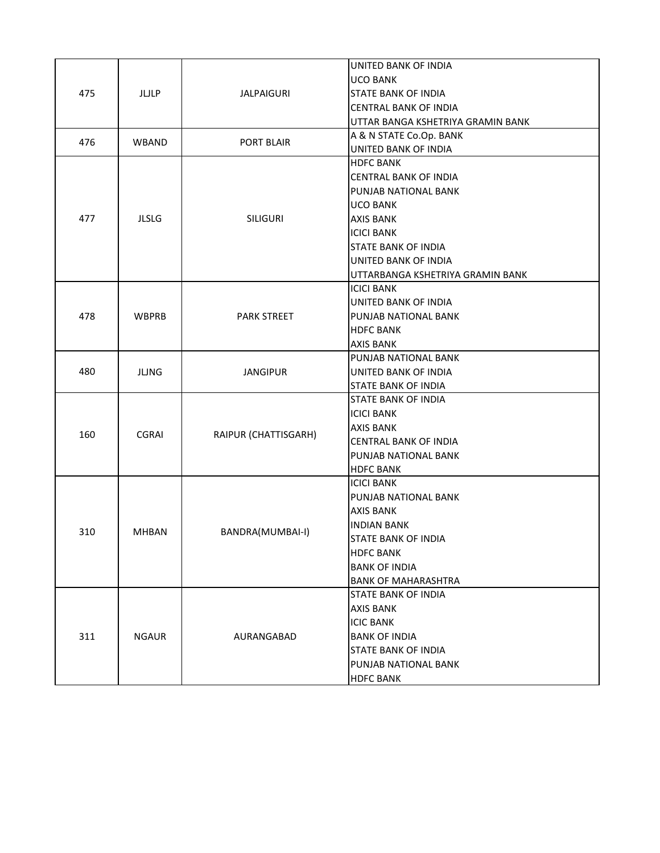| 475 | JLJLP        | <b>JALPAIGURI</b>    | UNITED BANK OF INDIA<br><b>UCO BANK</b><br><b>STATE BANK OF INDIA</b><br>CENTRAL BANK OF INDIA<br>UTTAR BANGA KSHETRIYA GRAMIN BANK                                                                                            |
|-----|--------------|----------------------|--------------------------------------------------------------------------------------------------------------------------------------------------------------------------------------------------------------------------------|
| 476 | <b>WBAND</b> | PORT BLAIR           | A & N STATE Co.Op. BANK<br>UNITED BANK OF INDIA                                                                                                                                                                                |
| 477 | <b>JLSLG</b> | <b>SILIGURI</b>      | <b>HDFC BANK</b><br><b>CENTRAL BANK OF INDIA</b><br>PUNJAB NATIONAL BANK<br><b>UCO BANK</b><br><b>AXIS BANK</b><br><b>ICICI BANK</b><br><b>STATE BANK OF INDIA</b><br>UNITED BANK OF INDIA<br>UTTARBANGA KSHETRIYA GRAMIN BANK |
| 478 | <b>WBPRB</b> | <b>PARK STREET</b>   | <b>ICICI BANK</b><br>UNITED BANK OF INDIA<br>PUNJAB NATIONAL BANK<br><b>HDFC BANK</b><br><b>AXIS BANK</b>                                                                                                                      |
| 480 | <b>JLJNG</b> | <b>JANGIPUR</b>      | PUNJAB NATIONAL BANK<br>UNITED BANK OF INDIA<br><b>STATE BANK OF INDIA</b>                                                                                                                                                     |
| 160 | <b>CGRAI</b> | RAIPUR (CHATTISGARH) | <b>STATE BANK OF INDIA</b><br><b>ICICI BANK</b><br><b>AXIS BANK</b><br><b>CENTRAL BANK OF INDIA</b><br>PUNJAB NATIONAL BANK<br><b>HDFC BANK</b>                                                                                |
| 310 | <b>MHBAN</b> | BANDRA(MUMBAI-I)     | <b>ICICI BANK</b><br>PUNJAB NATIONAL BANK<br><b>AXIS BANK</b><br><b>INDIAN BANK</b><br>STATE BANK OF INDIA<br><b>HDFC BANK</b><br><b>BANK OF INDIA</b><br><b>BANK OF MAHARASHTRA</b>                                           |
| 311 | <b>NGAUR</b> | AURANGABAD           | STATE BANK OF INDIA<br><b>AXIS BANK</b><br><b>ICIC BANK</b><br><b>BANK OF INDIA</b><br>STATE BANK OF INDIA<br>PUNJAB NATIONAL BANK<br><b>HDFC BANK</b>                                                                         |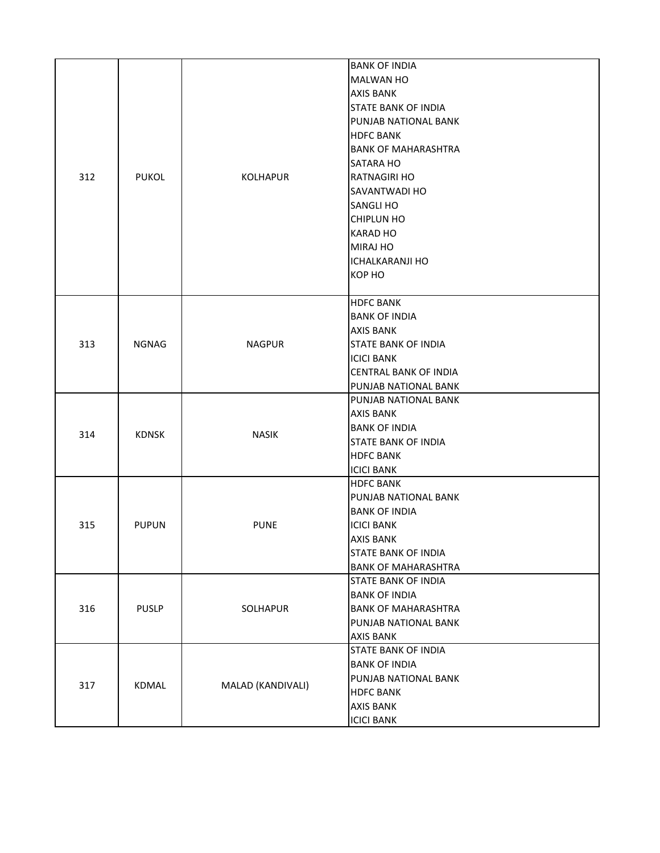|     |              |                             | <b>BANK OF INDIA</b>                           |
|-----|--------------|-----------------------------|------------------------------------------------|
|     |              |                             | <b>MALWAN HO</b>                               |
|     |              |                             | <b>AXIS BANK</b>                               |
|     |              |                             | <b>STATE BANK OF INDIA</b>                     |
|     |              |                             | PUNJAB NATIONAL BANK                           |
|     |              |                             | <b>HDFC BANK</b>                               |
|     |              |                             | <b>BANK OF MAHARASHTRA</b>                     |
|     |              |                             | <b>SATARA HO</b>                               |
| 312 | <b>PUKOL</b> | <b>KOLHAPUR</b>             | IRATNAGIRI HO                                  |
|     |              |                             | <b>SAVANTWADI HO</b>                           |
|     |              |                             | <b>SANGLI HO</b>                               |
|     |              |                             | <b>CHIPLUN HO</b>                              |
|     |              |                             | <b>KARAD HO</b>                                |
|     |              |                             |                                                |
|     |              |                             | <b>MIRAJ HO</b>                                |
|     |              |                             | <b>ICHALKARANJI HO</b>                         |
|     |              |                             | KOP HO                                         |
|     |              |                             | <b>HDFC BANK</b>                               |
|     |              |                             | <b>BANK OF INDIA</b>                           |
|     |              | <b>NAGPUR</b>               | <b>AXIS BANK</b>                               |
| 313 | <b>NGNAG</b> |                             | <b>STATE BANK OF INDIA</b>                     |
|     |              |                             | <b>ICICI BANK</b>                              |
|     |              |                             | <b>CENTRAL BANK OF INDIA</b>                   |
|     |              |                             | PUNJAB NATIONAL BANK                           |
|     |              |                             | PUNJAB NATIONAL BANK                           |
|     |              | <b>NASIK</b>                | AXIS BANK                                      |
|     |              |                             | <b>BANK OF INDIA</b>                           |
| 314 | <b>KDNSK</b> |                             |                                                |
|     |              |                             | <b>STATE BANK OF INDIA</b><br><b>HDFC BANK</b> |
|     |              |                             |                                                |
|     |              |                             | <b>ICICI BANK</b>                              |
|     |              |                             | <b>HDFC BANK</b><br>PUNJAB NATIONAL BANK       |
|     |              | <b>PUPUN</b><br><b>PUNE</b> |                                                |
|     |              |                             | <b>BANK OF INDIA</b>                           |
| 315 |              |                             | <b>ICICI BANK</b>                              |
|     |              |                             | <b>AXIS BANK</b>                               |
|     |              |                             | <b>STATE BANK OF INDIA</b>                     |
|     |              |                             | <b>BANK OF MAHARASHTRA</b>                     |
|     |              |                             | <b>STATE BANK OF INDIA</b>                     |
|     |              |                             | <b>BANK OF INDIA</b>                           |
| 316 | <b>PUSLP</b> | SOLHAPUR                    | <b>BANK OF MAHARASHTRA</b>                     |
|     |              |                             | PUNJAB NATIONAL BANK                           |
|     |              |                             | <b>AXIS BANK</b>                               |
|     |              |                             | <b>STATE BANK OF INDIA</b>                     |
|     |              | KDMAL<br>MALAD (KANDIVALI)  | <b>BANK OF INDIA</b>                           |
| 317 |              |                             | PUNJAB NATIONAL BANK                           |
|     |              |                             | <b>HDFC BANK</b>                               |
|     |              |                             | <b>AXIS BANK</b>                               |
|     |              |                             | <b>ICICI BANK</b>                              |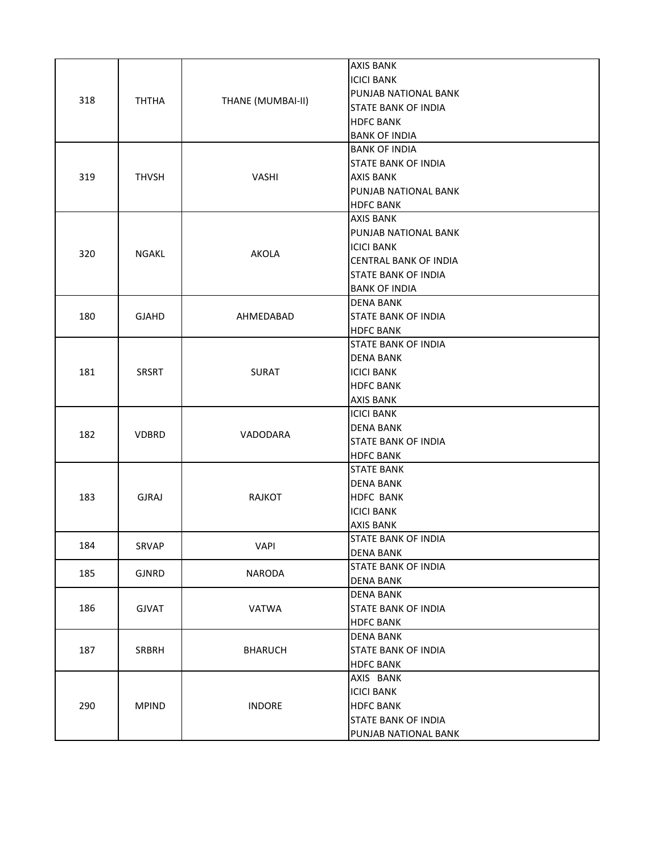| 318 | <b>THTHA</b> | THANE (MUMBAI-II) | <b>AXIS BANK</b><br><b>ICICI BANK</b><br>PUNJAB NATIONAL BANK<br><b>STATE BANK OF INDIA</b><br><b>HDFC BANK</b><br><b>BANK OF INDIA</b> |
|-----|--------------|-------------------|-----------------------------------------------------------------------------------------------------------------------------------------|
| 319 | <b>THVSH</b> | VASHI             | <b>BANK OF INDIA</b><br><b>STATE BANK OF INDIA</b><br><b>AXIS BANK</b><br>PUNJAB NATIONAL BANK<br><b>HDFC BANK</b>                      |
| 320 | <b>NGAKL</b> | <b>AKOLA</b>      | <b>AXIS BANK</b><br>PUNJAB NATIONAL BANK<br>ICICI BANK<br>CENTRAL BANK OF INDIA<br><b>STATE BANK OF INDIA</b><br><b>BANK OF INDIA</b>   |
| 180 | <b>GJAHD</b> | AHMEDABAD         | <b>DENA BANK</b><br>STATE BANK OF INDIA<br><b>HDFC BANK</b>                                                                             |
| 181 | SRSRT        | SURAT             | <b>STATE BANK OF INDIA</b><br><b>DENA BANK</b><br><b>ICICI BANK</b><br><b>HDFC BANK</b><br><b>AXIS BANK</b>                             |
| 182 | <b>VDBRD</b> | VADODARA          | ICICI BANK<br>DENA BANK<br>STATE BANK OF INDIA<br><b>HDFC BANK</b>                                                                      |
| 183 | <b>GJRAJ</b> | <b>RAJKOT</b>     | <b>STATE BANK</b><br>DENA BANK<br><b>HDFC BANK</b><br><b>ICICI BANK</b><br><b>AXIS BANK</b>                                             |
| 184 | SRVAP        | <b>VAPI</b>       | STATE BANK OF INDIA<br>DENA BANK                                                                                                        |
| 185 | <b>GJNRD</b> | <b>NARODA</b>     | <b>STATE BANK OF INDIA</b><br>DENA BANK                                                                                                 |
| 186 | <b>GJVAT</b> | <b>VATWA</b>      | <b>DENA BANK</b><br><b>STATE BANK OF INDIA</b><br><b>HDFC BANK</b>                                                                      |
| 187 | SRBRH        | <b>BHARUCH</b>    | <b>DENA BANK</b><br><b>STATE BANK OF INDIA</b><br><b>HDFC BANK</b>                                                                      |
| 290 | <b>MPIND</b> | <b>INDORE</b>     | AXIS BANK<br>ICICI BANK<br><b>HDFC BANK</b><br><b>STATE BANK OF INDIA</b><br>PUNJAB NATIONAL BANK                                       |